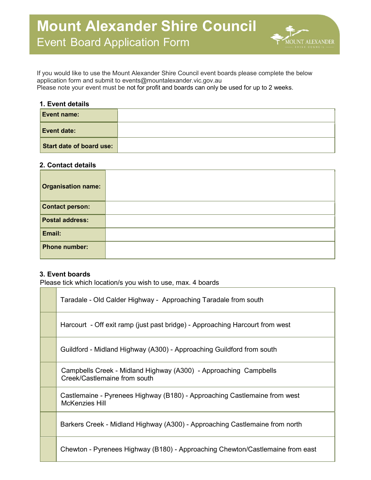

If you would like to use the Mount Alexander Shire Council event boards please complete the below application form and submit to events@mountalexander.vic.gov.au Please note your event must be not for profit and boards can only be used for up to 2 weeks.

### 1. Event details

 $\label{eq:2.1} \frac{1}{\sqrt{2}}\left(\frac{1}{\sqrt{2}}\right)^{2} \left(\frac{1}{\sqrt{2}}\right)^{2} \left(\frac{1}{\sqrt{2}}\right)^{2} \left(\frac{1}{\sqrt{2}}\right)^{2} \left(\frac{1}{\sqrt{2}}\right)^{2} \left(\frac{1}{\sqrt{2}}\right)^{2} \left(\frac{1}{\sqrt{2}}\right)^{2} \left(\frac{1}{\sqrt{2}}\right)^{2} \left(\frac{1}{\sqrt{2}}\right)^{2} \left(\frac{1}{\sqrt{2}}\right)^{2} \left(\frac{1}{\sqrt{2}}\right)^{2} \left(\$ 

| <b>Event name:</b>       |  |
|--------------------------|--|
| <b>Event date:</b>       |  |
| Start date of board use: |  |

#### 2. Contact details

| <b>Organisation name:</b> |  |
|---------------------------|--|
| <b>Contact person:</b>    |  |
| <b>Postal address:</b>    |  |
| Email:                    |  |
| <b>Phone number:</b>      |  |

# 3. Event boards

Please tick which location/s you wish to use, max. 4 boards

| Taradale - Old Calder Highway - Approaching Taradale from south                                    |
|----------------------------------------------------------------------------------------------------|
| Harcourt - Off exit ramp (just past bridge) - Approaching Harcourt from west                       |
| Guildford - Midland Highway (A300) - Approaching Guildford from south                              |
| Campbells Creek - Midland Highway (A300) - Approaching Campbells<br>Creek/Castlemaine from south   |
| Castlemaine - Pyrenees Highway (B180) - Approaching Castlemaine from west<br><b>McKenzies Hill</b> |
| Barkers Creek - Midland Highway (A300) - Approaching Castlemaine from north                        |
| Chewton - Pyrenees Highway (B180) - Approaching Chewton/Castlemaine from east                      |